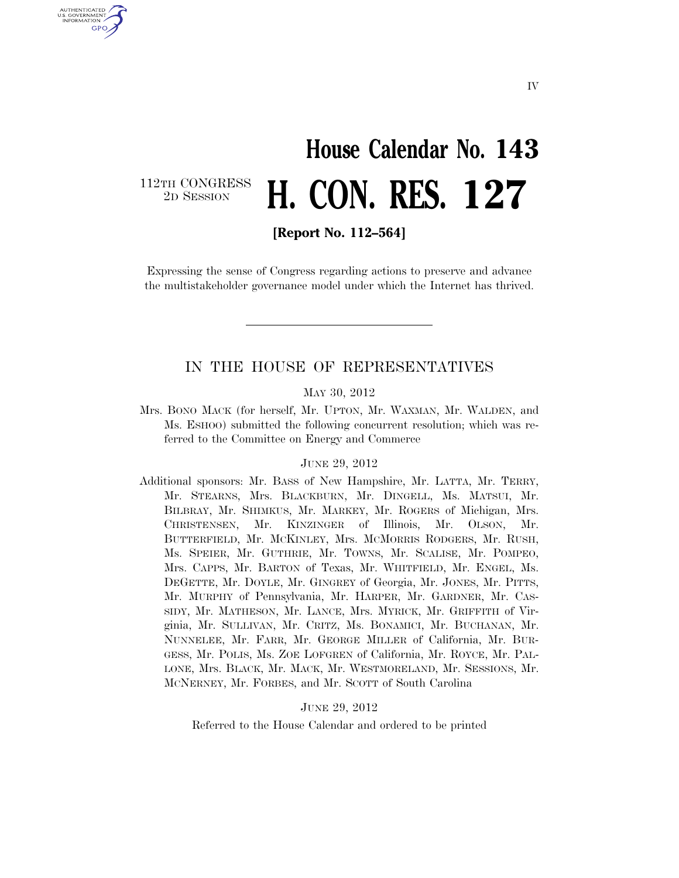## **House Calendar No. 143**  2D SESSION **H. CON. RES. 127**

112TH CONGRESS<br>2D SESSION

U.S. GOVERNMENT GPO

**[Report No. 112–564]** 

Expressing the sense of Congress regarding actions to preserve and advance the multistakeholder governance model under which the Internet has thrived.

#### IN THE HOUSE OF REPRESENTATIVES

#### MAY 30, 2012

Mrs. BONO MACK (for herself, Mr. UPTON, Mr. WAXMAN, Mr. WALDEN, and Ms. ESHOO) submitted the following concurrent resolution; which was referred to the Committee on Energy and Commerce

#### JUNE 29, 2012

Additional sponsors: Mr. BASS of New Hampshire, Mr. LATTA, Mr. TERRY, Mr. STEARNS, Mrs. BLACKBURN, Mr. DINGELL, Ms. MATSUI, Mr. BILBRAY, Mr. SHIMKUS, Mr. MARKEY, Mr. ROGERS of Michigan, Mrs. CHRISTENSEN, Mr. KINZINGER of Illinois, Mr. OLSON, Mr. BUTTERFIELD, Mr. MCKINLEY, Mrs. MCMORRIS RODGERS, Mr. RUSH, Ms. SPEIER, Mr. GUTHRIE, Mr. TOWNS, Mr. SCALISE, Mr. POMPEO, Mrs. CAPPS, Mr. BARTON of Texas, Mr. WHITFIELD, Mr. ENGEL, Ms. DEGETTE, Mr. DOYLE, Mr. GINGREY of Georgia, Mr. JONES, Mr. PITTS, Mr. MURPHY of Pennsylvania, Mr. HARPER, Mr. GARDNER, Mr. CAS-SIDY, Mr. MATHESON, Mr. LANCE, Mrs. MYRICK, Mr. GRIFFITH of Virginia, Mr. SULLIVAN, Mr. CRITZ, Ms. BONAMICI, Mr. BUCHANAN, Mr. NUNNELEE, Mr. FARR, Mr. GEORGE MILLER of California, Mr. BUR-GESS, Mr. POLIS, Ms. ZOE LOFGREN of California, Mr. ROYCE, Mr. PAL-LONE, Mrs. BLACK, Mr. MACK, Mr. WESTMORELAND, Mr. SESSIONS, Mr. MCNERNEY, Mr. FORBES, and Mr. SCOTT of South Carolina

#### JUNE 29, 2012

Referred to the House Calendar and ordered to be printed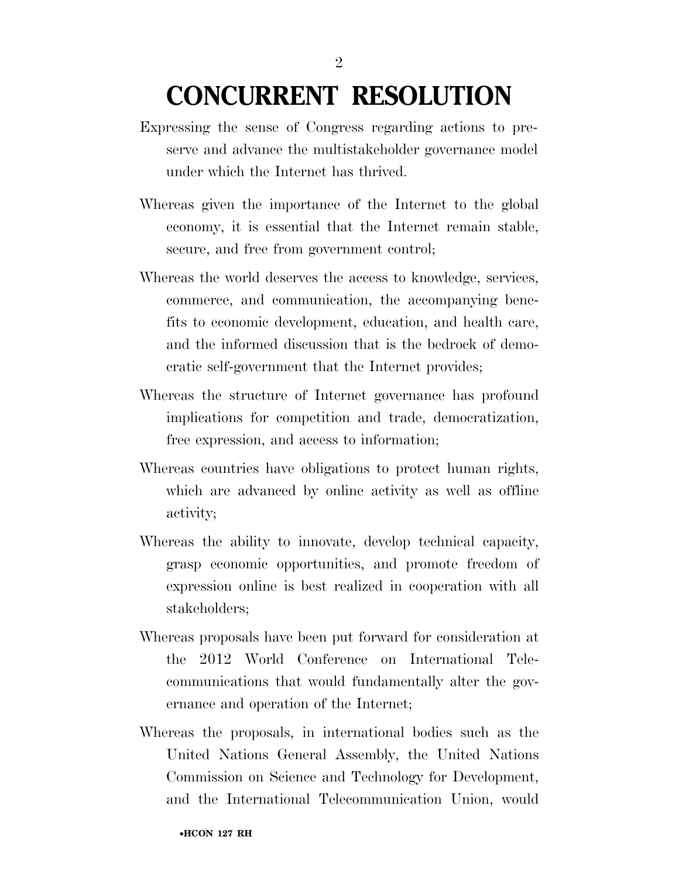### **CONCURRENT RESOLUTION**

- Expressing the sense of Congress regarding actions to preserve and advance the multistakeholder governance model under which the Internet has thrived.
- Whereas given the importance of the Internet to the global economy, it is essential that the Internet remain stable, secure, and free from government control;
- Whereas the world deserves the access to knowledge, services, commerce, and communication, the accompanying benefits to economic development, education, and health care, and the informed discussion that is the bedrock of democratic self-government that the Internet provides;
- Whereas the structure of Internet governance has profound implications for competition and trade, democratization, free expression, and access to information;
- Whereas countries have obligations to protect human rights, which are advanced by online activity as well as offline activity;
- Whereas the ability to innovate, develop technical capacity, grasp economic opportunities, and promote freedom of expression online is best realized in cooperation with all stakeholders;
- Whereas proposals have been put forward for consideration at the 2012 World Conference on International Telecommunications that would fundamentally alter the governance and operation of the Internet;
- Whereas the proposals, in international bodies such as the United Nations General Assembly, the United Nations Commission on Science and Technology for Development, and the International Telecommunication Union, would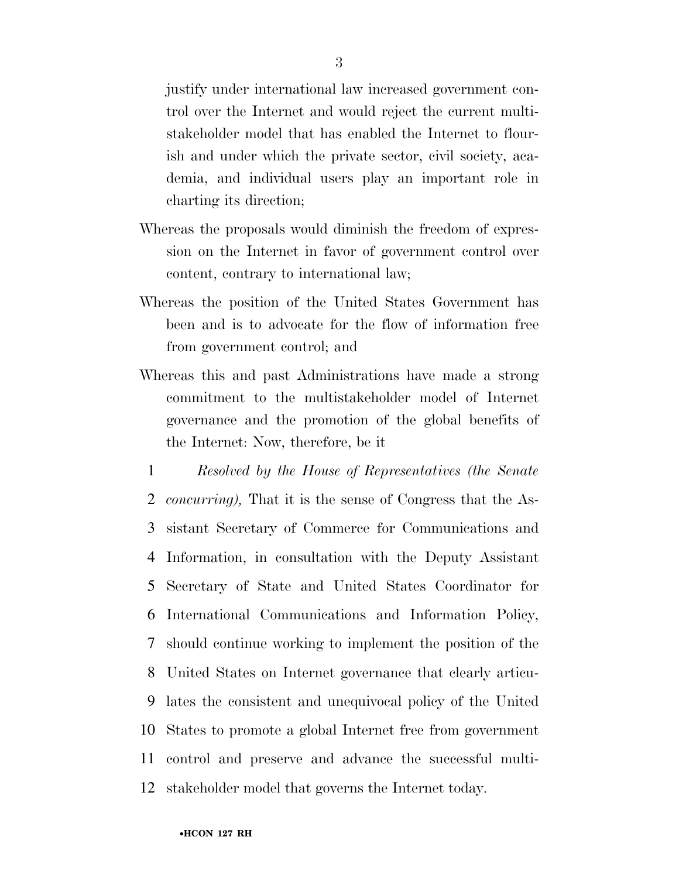justify under international law increased government control over the Internet and would reject the current multistakeholder model that has enabled the Internet to flourish and under which the private sector, civil society, academia, and individual users play an important role in charting its direction;

- Whereas the proposals would diminish the freedom of expression on the Internet in favor of government control over content, contrary to international law;
- Whereas the position of the United States Government has been and is to advocate for the flow of information free from government control; and
- Whereas this and past Administrations have made a strong commitment to the multistakeholder model of Internet governance and the promotion of the global benefits of the Internet: Now, therefore, be it
- 1 *Resolved by the House of Representatives (the Senate*  2 *concurring),* That it is the sense of Congress that the As-3 sistant Secretary of Commerce for Communications and 4 Information, in consultation with the Deputy Assistant 5 Secretary of State and United States Coordinator for 6 International Communications and Information Policy, 7 should continue working to implement the position of the 8 United States on Internet governance that clearly articu-9 lates the consistent and unequivocal policy of the United 10 States to promote a global Internet free from government 11 control and preserve and advance the successful multi-12 stakeholder model that governs the Internet today.